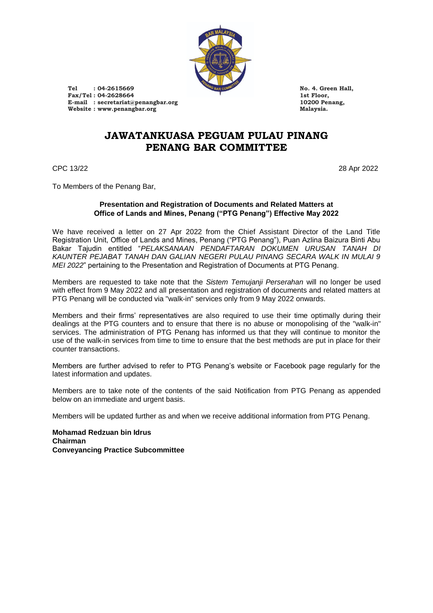

**Tel : 04-2615669 No. 4. Green Hall,** Fax/Tel : 04-2628664<br>
E-mail : secretariat@penangbar.org<br>
10200 Penang, **E-mail : secretariat@penangbar.org 10200 Penang, Website : www.penangbar.org Malaysia.**

## **JAWATANKUASA PEGUAM PULAU PINANG PENANG BAR COMMITTEE**

CPC 13/22 28 Apr 2022

To Members of the Penang Bar,

### **Presentation and Registration of Documents and Related Matters at Office of Lands and Mines, Penang ("PTG Penang") Effective May 2022**

We have received a letter on 27 Apr 2022 from the Chief Assistant Director of the Land Title Registration Unit, Office of Lands and Mines, Penang ("PTG Penang"), Puan Azlina Baizura Binti Abu Bakar Tajudin entitled "*PELAKSANAAN PENDAFTARAN DOKUMEN URUSAN TANAH DI KAUNTER PEJABAT TANAH DAN GALIAN NEGERI PULAU PINANG SECARA WALK IN MULAI 9 MEI 2022*" pertaining to the Presentation and Registration of Documents at PTG Penang.

Members are requested to take note that the *Sistem Temujanji Perserahan* will no longer be used with effect from 9 May 2022 and all presentation and registration of documents and related matters at PTG Penang will be conducted via "walk-in" services only from 9 May 2022 onwards.

Members and their firms' representatives are also required to use their time optimally during their dealings at the PTG counters and to ensure that there is no abuse or monopolising of the "walk-in" services. The administration of PTG Penang has informed us that they will continue to monitor the use of the walk-in services from time to time to ensure that the best methods are put in place for their counter transactions.

Members are further advised to refer to PTG Penang's website or Facebook page regularly for the latest information and updates.

Members are to take note of the contents of the said Notification from PTG Penang as appended below on an immediate and urgent basis.

Members will be updated further as and when we receive additional information from PTG Penang.

**Mohamad Redzuan bin Idrus Chairman Conveyancing Practice Subcommittee**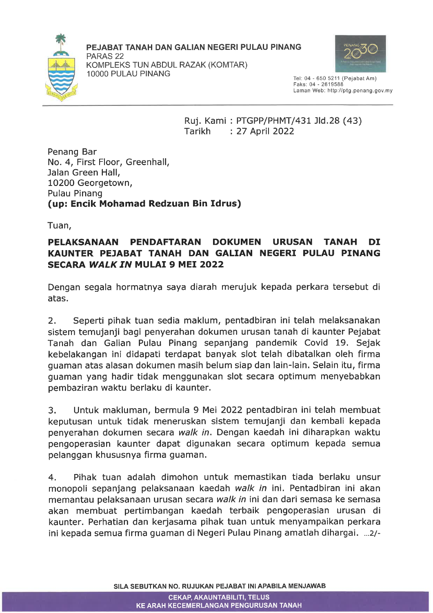

PEJABAT TANAH DAN GALIAN NEGERI PULAU PINANG

PARAS<sub>22</sub> KOMPLEKS TUN ABDUL RAZAK (KOMTAR) 10000 PULAU PINANG



Tel: 04 - 650 5211 (Pejabat Am) Faks: 04 - 2619588 Laman Web: http://ptg.penang.gov.my

Ruj. Kami: PTGPP/PHMT/431 Jld.28 (43) Tarikh : 27 April 2022

Penang Bar No. 4, First Floor, Greenhall, Jalan Green Hall, 10200 Georgetown, Pulau Pinang (up: Encik Mohamad Redzuan Bin Idrus)

Tuan,

#### PELAKSANAAN **PENDAFTARAN DOKUMEN URUSAN TANAH** DI KAUNTER PEJABAT TANAH DAN GALIAN NEGERI PULAU PINANG **SECARA WALK IN MULAI 9 MEI 2022**

Dengan segala hormatnya saya diarah merujuk kepada perkara tersebut di atas.

 $2.$ Seperti pihak tuan sedia maklum, pentadbiran ini telah melaksanakan sistem temujanji bagi penyerahan dokumen urusan tanah di kaunter Pejabat Tanah dan Galian Pulau Pinang sepanjang pandemik Covid 19. Sejak kebelakangan ini didapati terdapat banyak slot telah dibatalkan oleh firma guaman atas alasan dokumen masih belum siap dan lain-lain. Selain itu, firma guaman yang hadir tidak menggunakan slot secara optimum menyebabkan pembaziran waktu berlaku di kaunter.

 $3.$ Untuk makluman, bermula 9 Mei 2022 pentadbiran ini telah membuat keputusan untuk tidak meneruskan sistem temujanji dan kembali kepada penyerahan dokumen secara walk in. Dengan kaedah ini diharapkan waktu pengoperasian kaunter dapat digunakan secara optimum kepada semua pelanggan khususnya firma guaman.

Pihak tuan adalah dimohon untuk memastikan tiada berlaku unsur  $4.$ monopoli sepanjang pelaksanaan kaedah walk in ini. Pentadbiran ini akan memantau pelaksanaan urusan secara walk in ini dan dari semasa ke semasa akan membuat pertimbangan kaedah terbaik pengoperasian urusan di kaunter. Perhatian dan kerjasama pihak tuan untuk menyampaikan perkara ini kepada semua firma guaman di Negeri Pulau Pinang amatlah dihargai. ...2/-